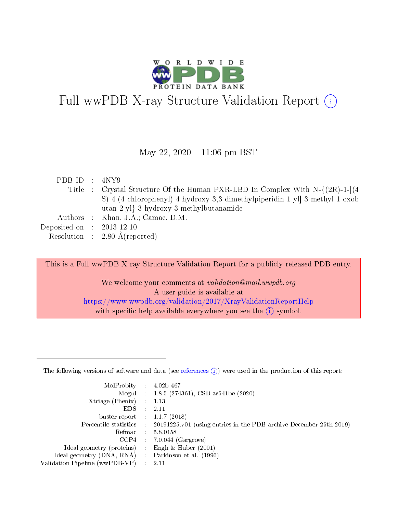

# Full wwPDB X-ray Structure Validation Report  $(i)$

#### May 22,  $2020 - 11:06$  pm BST

| PDB ID : $4NY9$             |                                                                                 |
|-----------------------------|---------------------------------------------------------------------------------|
|                             | Title : Crystal Structure Of the Human PXR-LBD In Complex With $N-\{(2R)-1-1\}$ |
|                             | S)-4-(4-chlorophenyl)-4-hydroxy-3,3-dimethylpiperidin-1-yl]-3-methyl-1-oxob     |
|                             | $utan-2-yl$ -3-hydroxy-3-methylbutanamide                                       |
|                             | Authors : Khan, J.A.; Camac, D.M.                                               |
| Deposited on : $2013-12-10$ |                                                                                 |
|                             | Resolution : $2.80 \text{ Å}$ (reported)                                        |

This is a Full wwPDB X-ray Structure Validation Report for a publicly released PDB entry.

We welcome your comments at validation@mail.wwpdb.org A user guide is available at <https://www.wwpdb.org/validation/2017/XrayValidationReportHelp> with specific help available everywhere you see the  $(i)$  symbol.

The following versions of software and data (see [references](https://www.wwpdb.org/validation/2017/XrayValidationReportHelp#references)  $(1)$ ) were used in the production of this report:

| MolProbity :                   |               | $4.02b - 467$                                                               |
|--------------------------------|---------------|-----------------------------------------------------------------------------|
|                                |               | Mogul : $1.8.5$ (274361), CSD as 541be (2020)                               |
| Xtriage (Phenix)               | $\mathcal{L}$ | 1.13                                                                        |
| EDS.                           |               | 2.11                                                                        |
| buster-report : $1.1.7$ (2018) |               |                                                                             |
| Percentile statistics :        |               | $20191225 \text{v}01$ (using entries in the PDB archive December 25th 2019) |
| Refmac :                       |               | 5.8.0158                                                                    |
| CCP4                           |               | $7.0.044$ (Gargrove)                                                        |
| Ideal geometry (proteins) :    |               | Engh & Huber $(2001)$                                                       |
| Ideal geometry (DNA, RNA) :    |               | Parkinson et al. (1996)                                                     |
| Validation Pipeline (wwPDB-VP) | $\mathcal{L}$ | 2.11                                                                        |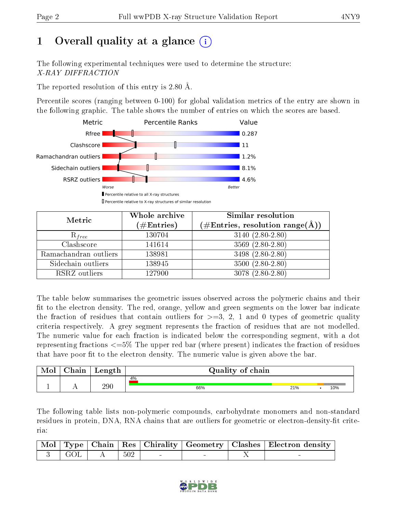# 1 [O](https://www.wwpdb.org/validation/2017/XrayValidationReportHelp#overall_quality)verall quality at a glance  $(i)$

The following experimental techniques were used to determine the structure: X-RAY DIFFRACTION

The reported resolution of this entry is 2.80 Å.

Percentile scores (ranging between 0-100) for global validation metrics of the entry are shown in the following graphic. The table shows the number of entries on which the scores are based.



| Metric                | Whole archive<br>$(\#\text{Entries})$ | Similar resolution<br>$(\#\text{Entries},\,\text{resolution}\,\,\text{range}(\textup{\AA}))$ |
|-----------------------|---------------------------------------|----------------------------------------------------------------------------------------------|
| $R_{free}$            | 130704                                | $3140 (2.80 - 2.80)$                                                                         |
| Clashscore            | 141614                                | $3569(2.80-2.80)$                                                                            |
| Ramachandran outliers | 138981                                | 3498 (2.80-2.80)                                                                             |
| Sidechain outliers    | 138945                                | $3500(2.80-2.80)$                                                                            |
| RSRZ outliers         | 127900                                | $3078(2.80-2.80)$                                                                            |

The table below summarises the geometric issues observed across the polymeric chains and their fit to the electron density. The red, orange, yellow and green segments on the lower bar indicate the fraction of residues that contain outliers for  $>=3, 2, 1$  and 0 types of geometric quality criteria respectively. A grey segment represents the fraction of residues that are not modelled. The numeric value for each fraction is indicated below the corresponding segment, with a dot representing fractions <=5% The upper red bar (where present) indicates the fraction of residues that have poor fit to the electron density. The numeric value is given above the bar.

| Mol | $\gamma$ hain | Length  | Quality of chain |     |  |     |  |  |  |  |  |
|-----|---------------|---------|------------------|-----|--|-----|--|--|--|--|--|
|     |               |         | 4%               |     |  |     |  |  |  |  |  |
|     |               | $290\,$ | 66%              | 21% |  | 10% |  |  |  |  |  |

The following table lists non-polymeric compounds, carbohydrate monomers and non-standard residues in protein, DNA, RNA chains that are outliers for geometric or electron-density-fit criteria:

|                                                                                    |     |  | Mol   Type   Chain   Res   Chirality   Geometry   Clashes   Electron density |
|------------------------------------------------------------------------------------|-----|--|------------------------------------------------------------------------------|
| $\begin{array}{ c c c c c } \hline 3 & \text{GOL} & \text{A} \ \hline \end{array}$ | 502 |  |                                                                              |

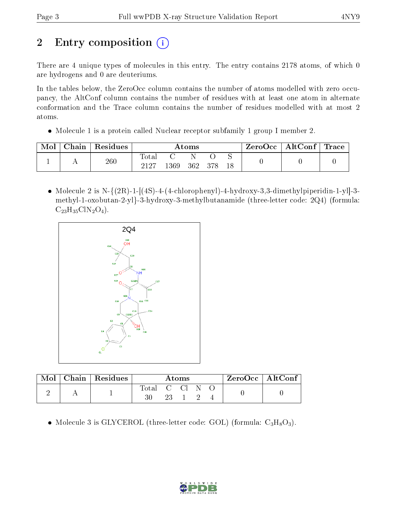# 2 Entry composition  $\binom{1}{1}$

There are 4 unique types of molecules in this entry. The entry contains 2178 atoms, of which 0 are hydrogens and 0 are deuteriums.

In the tables below, the ZeroOcc column contains the number of atoms modelled with zero occupancy, the AltConf column contains the number of residues with at least one atom in alternate conformation and the Trace column contains the number of residues modelled with at most 2 atoms.

• Molecule 1 is a protein called Nuclear receptor subfamily 1 group I member 2.

| Mol | Chain | Residues | Atoms                    |      |     |       | $\rm{ZeroOcc}$   $\rm{AltConf}$   $\rm{Trace}$ |  |  |
|-----|-------|----------|--------------------------|------|-----|-------|------------------------------------------------|--|--|
|     | . .   | $260\,$  | $\mathrm{Total}$<br>9197 | 1369 | 362 | - 378 | 18                                             |  |  |

• Molecule 2 is N- $\{(2R)-1-[(4S)-4-(4-chloropheny)]-4-hydroxy-3,3-dimethylpiperidin-1-y]\}-3$ methyl-1-oxobutan-2-yl}-3-hydroxy-3-methylbutanamide (three-letter code: 2Q4) (formula:  $C_{23}H_{35}CIN_2O_4$ .



| Mol | Chain   Residues | Atoms      |  |  |  | $\rm ZeroOcc \mid AltConf$ |  |  |
|-----|------------------|------------|--|--|--|----------------------------|--|--|
|     |                  | Total C Cl |  |  |  |                            |  |  |
|     |                  |            |  |  |  |                            |  |  |

• Molecule 3 is GLYCEROL (three-letter code: GOL) (formula:  $C_3H_8O_3$ ).

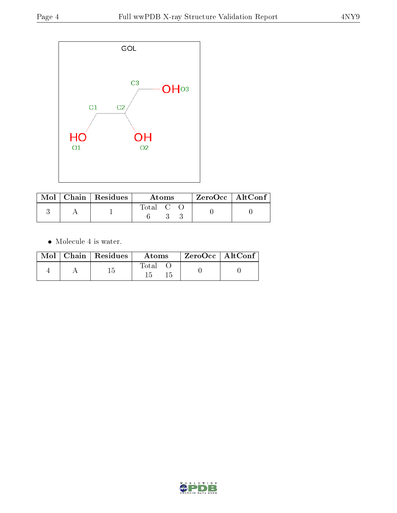

|  | $\blacksquare$ Mol $\parallel$ Chain $\parallel$ Residues $\parallel$ | Atoms                             |  |  | $\rm ZeroOcc \mid AltConf$ |  |
|--|-----------------------------------------------------------------------|-----------------------------------|--|--|----------------------------|--|
|  |                                                                       | $\mathrm{Total} \quad \mathrm{C}$ |  |  |                            |  |

 $\bullet\,$  Molecule 4 is water.

|  | $Mol$   Chain   Residues | Atoms          | $\rm ZeroOcc$   $\rm AltConf$ |
|--|--------------------------|----------------|-------------------------------|
|  |                          | $_{\rm Total}$ |                               |

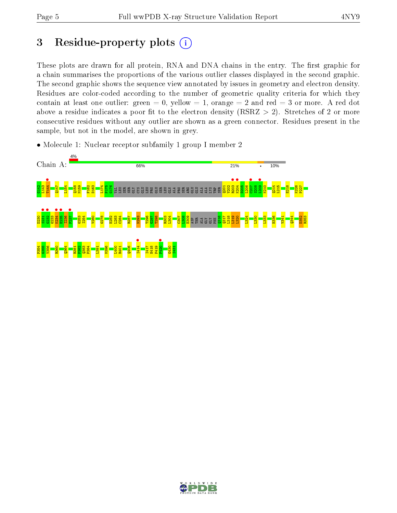# 3 Residue-property plots  $(i)$

These plots are drawn for all protein, RNA and DNA chains in the entry. The first graphic for a chain summarises the proportions of the various outlier classes displayed in the second graphic. The second graphic shows the sequence view annotated by issues in geometry and electron density. Residues are color-coded according to the number of geometric quality criteria for which they contain at least one outlier: green  $= 0$ , yellow  $= 1$ , orange  $= 2$  and red  $= 3$  or more. A red dot above a residue indicates a poor fit to the electron density (RSRZ  $> 2$ ). Stretches of 2 or more consecutive residues without any outlier are shown as a green connector. Residues present in the sample, but not in the model, are shown in grey.

• Molecule 1: Nuclear receptor subfamily 1 group I member 2



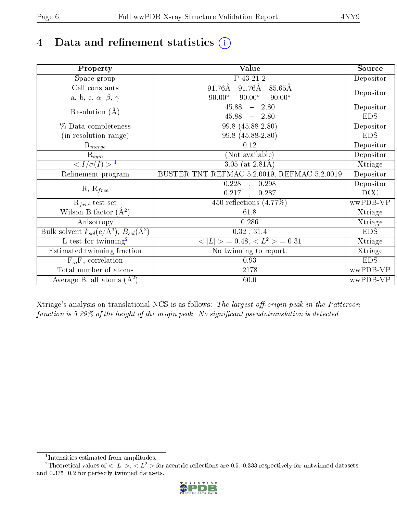## 4 Data and refinement statistics  $(i)$

| Property                                                          | Value                                            | Source     |
|-------------------------------------------------------------------|--------------------------------------------------|------------|
| Space group                                                       | P 43 21 2                                        | Depositor  |
| Cell constants                                                    | $91.76\text{\AA}$<br>$91.76\text{\AA}$<br>85.65Å |            |
| a, b, c, $\alpha$ , $\beta$ , $\gamma$                            | $90.00^\circ$<br>$90.00^\circ$<br>$90.00^\circ$  | Depositor  |
| Resolution $(A)$                                                  | $45.88 - 2.80$                                   | Depositor  |
|                                                                   | $45.88 - 2.80$                                   | <b>EDS</b> |
| % Data completeness                                               | 99.8 (45.88-2.80)                                | Depositor  |
| (in resolution range)                                             | 99.8 (45.88-2.80)                                | <b>EDS</b> |
| $R_{merge}$                                                       | 0.12                                             | Depositor  |
| $\mathrm{R}_{sym}$                                                | (Not available)                                  | Depositor  |
| $\overline{1$                                                     | 3.05 (at $2.81\text{\AA}$ )                      | Xtriage    |
| Refinement program                                                | BUSTER-TNT REFMAC 5.2.0019, REFMAC 5.2.0019      | Depositor  |
| $R, R_{free}$                                                     | $0.228$ , $0.298$                                | Depositor  |
|                                                                   | 0.217<br>$\frac{1}{2}$<br>0.287                  | DCC        |
| $R_{free}$ test set                                               | 450 reflections $(4.77\%)$                       | wwPDB-VP   |
| Wilson B-factor $(A^2)$                                           | 61.8                                             | Xtriage    |
| Anisotropy                                                        | 0.286                                            | Xtriage    |
| Bulk solvent $k_{sol}(e/\mathring{A}^3), B_{sol}(\mathring{A}^2)$ | 0.32, 31.4                                       | <b>EDS</b> |
| L-test for twinning <sup>2</sup>                                  | $< L >$ = 0.48, $< L^2 >$ = 0.31                 | Xtriage    |
| Estimated twinning fraction                                       | $\overline{\text{No}}$ twinning to report.       | Xtriage    |
| $F_o, F_c$ correlation                                            | 0.93                                             | <b>EDS</b> |
| Total number of atoms                                             | 2178                                             | wwPDB-VP   |
| Average B, all atoms $(A^2)$                                      | 60.0                                             | wwPDB-VP   |

Xtriage's analysis on translational NCS is as follows: The largest off-origin peak in the Patterson function is  $5.29\%$  of the height of the origin peak. No significant pseudotranslation is detected.

<sup>&</sup>lt;sup>2</sup>Theoretical values of  $\langle |L| \rangle$ ,  $\langle L^2 \rangle$  for acentric reflections are 0.5, 0.333 respectively for untwinned datasets, and 0.375, 0.2 for perfectly twinned datasets.



<span id="page-5-1"></span><span id="page-5-0"></span><sup>1</sup> Intensities estimated from amplitudes.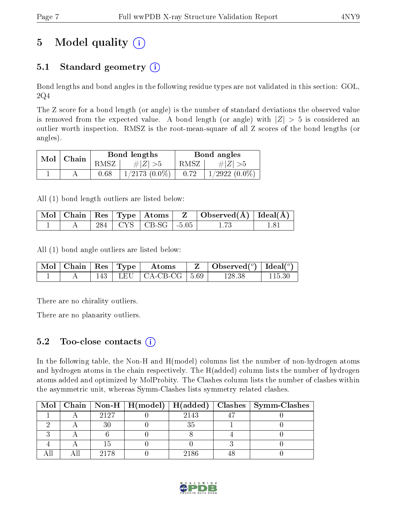# 5 Model quality  $(i)$

### 5.1 Standard geometry  $(i)$

Bond lengths and bond angles in the following residue types are not validated in this section: GOL, 2Q4

The Z score for a bond length (or angle) is the number of standard deviations the observed value is removed from the expected value. A bond length (or angle) with  $|Z| > 5$  is considered an outlier worth inspection. RMSZ is the root-mean-square of all Z scores of the bond lengths (or angles).

|     | Chain |          | Bond lengths       | Bond angles |                    |  |
|-----|-------|----------|--------------------|-------------|--------------------|--|
| Mol |       | RMSZ     | # $ Z  > 5$        | RMSZ        | # $ Z  > 5$        |  |
|     |       | $0.68\,$ | $1/2173$ $(0.0\%)$ | 0.72        | $1/2922$ $(0.0\%)$ |  |

All (1) bond length outliers are listed below:

|  |  |                           | $\mid$ Mol $\mid$ Chain $\mid$ Res $\mid$ Type $\mid$ Atoms $\mid$ $\mid$ Z $\mid$ Observed(Å) $\mid$ Ideal(Å) $\mid$ |  |
|--|--|---------------------------|-----------------------------------------------------------------------------------------------------------------------|--|
|  |  | 284   CYS   CB-SG   -5.05 |                                                                                                                       |  |

All (1) bond angle outliers are listed below:

|  |  | $\mid$ Mol $\mid$ Chain $\mid$ Res $\mid$ Type $\mid$ Atoms | $\mathbf{Z}$   Observed( $^{\circ}$ )   Ideal( $^{\circ}$ ) |  |
|--|--|-------------------------------------------------------------|-------------------------------------------------------------|--|
|  |  | $143$   LEU   CA-CB-CG   5.69                               | 128.38                                                      |  |

There are no chirality outliers.

There are no planarity outliers.

#### $5.2$  Too-close contacts  $(i)$

In the following table, the Non-H and H(model) columns list the number of non-hydrogen atoms and hydrogen atoms in the chain respectively. The H(added) column lists the number of hydrogen atoms added and optimized by MolProbity. The Clashes column lists the number of clashes within the asymmetric unit, whereas Symm-Clashes lists symmetry related clashes.

|  |      |      | Mol   Chain   Non-H   H(model)   H(added)   Clashes   Symm-Clashes |
|--|------|------|--------------------------------------------------------------------|
|  | 2127 | 2143 |                                                                    |
|  |      |      |                                                                    |
|  |      |      |                                                                    |
|  |      |      |                                                                    |
|  | 2178 | 2186 |                                                                    |

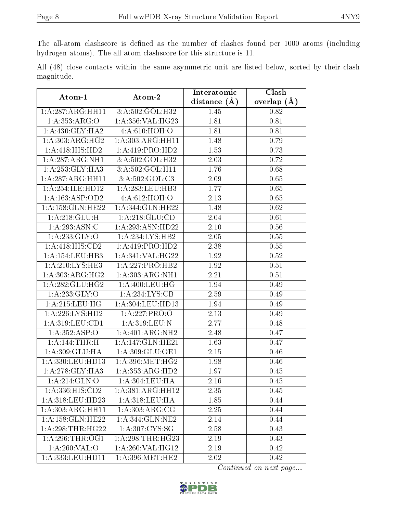The all-atom clashscore is defined as the number of clashes found per 1000 atoms (including hydrogen atoms). The all-atom clashscore for this structure is 11.

All (48) close contacts within the same asymmetric unit are listed below, sorted by their clash magnitude.

| Atom-1              | Atom-2                    | Interatomic       | Clash         |
|---------------------|---------------------------|-------------------|---------------|
|                     |                           | distance (Å)      | overlap $(A)$ |
| 1:A:287:ARG:HH11    | 3:A:502:GOL:H32           | 1.45              | 0.82          |
| 1:A:353:ARG:O       | 1: A: 356: VAL:HG23       | 1.81              | 0.81          |
| 1:A:430:GLY:HA2     | 4:A:610:HOH:O             | 1.81              | 0.81          |
| 1: A:303:ARG:HG2    | 1: A: 303: ARG: HH11      | 1.48              | 0.79          |
| 1:A:418:HIS:HD2     | 1: A: 419: PRO: HD2       | 1.53              | 0.73          |
| 1:A:287:ARG:NH1     | 3:A:502:GOL:H32           | 2.03              | 0.72          |
| 1:A:253:GLY:HA3     | 3:A:502:GOL:H11           | 1.76              | 0.68          |
| 1:A:287:ARG:HH11    | 3:A:502:GOL:C3            | 2.09              | 0.65          |
| 1:A:254:ILE:HD12    | 1:A:283:LEU:HB3           | 1.77              | 0.65          |
| 1:A:163:ASP:OD2     | 4:A:612:HOH:O             | 2.13              | 0.65          |
| 1:A:158:GLN:HE22    | 1:A:344:GLN:HE22          | 1.48              | 0.62          |
| 1: A:218: GLU: H    | 1: A:218: GLU:CD          | 2.04              | 0.61          |
| 1:A:293:ASN:C       | 1:A:293:ASN:HD22          | $2.10\,$          | 0.56          |
| 1: A: 233: GLY: O   | 1:A:234:LYS:HB2           | 2.05              | 0.55          |
| 1:A:418:HIS:CD2     | 1: A: 419: PRO: HD2       | 2.38              | 0.55          |
| 1:A:154:LEU:HB3     | 1:A:341:VAL:HG22          | 1.92              | 0.52          |
| 1: A:210: LYS: HE3  | 1:A:227:PRO:HB2           | 1.92              | 0.51          |
| 1: A:303:ARG:HG2    | 1: A: 303: ARG: NH1       | 2.21              | 0.51          |
| 1: A:282: GLU:HG2   | 1: A:400:LEU:HG           | 1.94              | 0.49          |
| 1: A: 233: GLY: O   | 1: A:234:LYS:CB           | 2.59              | 0.49          |
| 1: A:215:LEU:HG     | 1: A: 304: LEU: HD13      | 1.94              | 0.49          |
| 1:A:226:LYS:HD2     | 1:A:227:PRO:O             | 2.13              | 0.49          |
| 1:A:319:LEU:CD1     | 1:A:319:LEU:N             | 2.77              | 0.48          |
| 1: A: 352: ASP: O   | 1:A:401:ARG:NH2           | 2.48              | 0.47          |
| 1:A:144:THR:H       | 1:A:147:GLN:HE21          | 1.63              | 0.47          |
| 1: A:309: GLU: HA   | 1: A:309: GLU:OE1         | 2.15              | 0.46          |
| 1:A:330:LEU:HD13    | 1: A:396:MET:HG2          | 1.98              | 0.46          |
| 1:A:278:GLY:HA3     | 1:A:353:ARG:HD2           | 1.97              | 0.45          |
| 1: A:214: GLN:O     | $1: A:304: \text{LEU:HA}$ | $\overline{2.16}$ | 0.45          |
| 1:A:336:HIS:CD2     | 1:A:381:ARG:HH12          | 2.35              | 0.45          |
| 1: A:318: LEU: HD23 | 1:A:318:LEU:HA            | 1.85              | 0.44          |
| 1:A:303:ARG:HH11    | 1:A:303:ARG:CG            | 2.25              | 0.44          |
| 1:A:158:GLN:HE22    | 1:A:344:GLN:NE2           | 2.14              | 0.44          |
| 1:A:298:THR:HG22    | 1: A:307:CYS:SG           | 2.58              | 0.43          |
| 1: A:296:THR:OG1    | 1: A:298:THR:HG23         | 2.19              | 0.43          |
| 1:A:260:VAL:O       | 1:A:260:VAL:HG12          | 2.19              | 0.42          |
| 1:A:333:LEU:HD11    | 1: A:396:MET:HE2          | 2.02              | 0.42          |

Continued on next page...

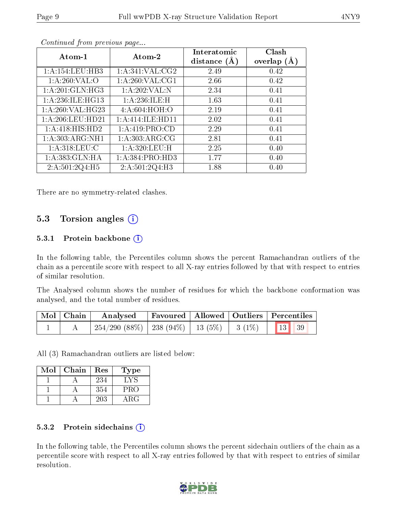| Atom-1                      | Atom-2              | Interatomic    | Clash         |
|-----------------------------|---------------------|----------------|---------------|
|                             |                     | distance $(A)$ | overlap $(A)$ |
| 1: A:154:LEU:HB3            | 1: A:341: VAL: CG2  | 2.49           | 0.42          |
| 1: A:260: VAL:O             | 1: A:260: VAL:CG1   | 2.66           | 0.42          |
| 1: A:201: GLN: HG3          | 1:A:202:VAL:N       | 2.34           | 0.41          |
| 1:A:236:ILE:HG13            | 1:A:236:ILE:H       | 1.63           | 0.41          |
| 1:A:260:VAL:HG23            | 4:A:604:HOH:O       | 2.19           | 0.41          |
| 1: A:206:LEU:HD21           | 1:A:414:ILE:HD11    | 2.02           | 0.41          |
| $1:A:418:H\overline{S:HD2}$ | 1:A:419:PRO:CD      | 2.29           | 0.41          |
| 1:A:303:ARG:NH1             | 1: A:303: ARG:CG    | 2.81           | 0.41          |
| 1: A:318: LEU: C            | 1: A:320: LEU:H     | 2.25           | 0.40          |
| 1:A:383:GLN:HA              | 1: A: 384: PRO: HD3 | 1.77           | 0.40          |
| 2:A:501:2Q4:H5              | 2:A:501:2Q4:H3      | 1.88           | 0.40          |

Continued from previous page...

There are no symmetry-related clashes.

#### 5.3 Torsion angles (i)

#### 5.3.1 Protein backbone  $(i)$

In the following table, the Percentiles column shows the percent Ramachandran outliers of the chain as a percentile score with respect to all X-ray entries followed by that with respect to entries of similar resolution.

The Analysed column shows the number of residues for which the backbone conformation was analysed, and the total number of residues.

| $\mid$ Mol $\mid$ Chain $\mid$ | Analysed                                                   |  | $\mid$ Favoured $\mid$ Allowed $\mid$ Outliers $\mid$ Percentiles |  |
|--------------------------------|------------------------------------------------------------|--|-------------------------------------------------------------------|--|
|                                | $254/290$ (88\%)   238 (94\%)   13 (5\%)   3 (1\%)   13 39 |  |                                                                   |  |

All (3) Ramachandran outliers are listed below:

| Mol | Chain | Res | <b>Type</b> |
|-----|-------|-----|-------------|
|     |       | 234 | TYS.        |
|     |       | 354 | PRO         |
|     |       | 203 | ARG         |

#### 5.3.2 Protein sidechains (i)

In the following table, the Percentiles column shows the percent sidechain outliers of the chain as a percentile score with respect to all X-ray entries followed by that with respect to entries of similar resolution.

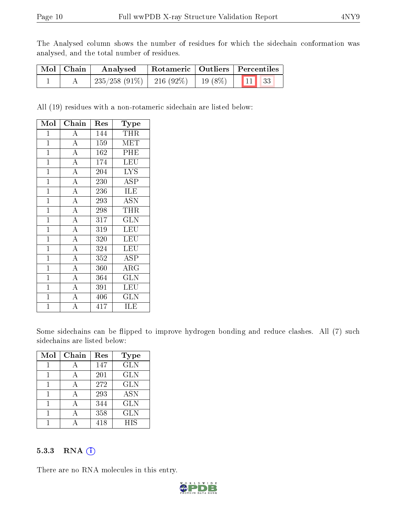The Analysed column shows the number of residues for which the sidechain conformation was analysed, and the total number of residues.

| $\mid$ Mol $\mid$ Chain | Analysed                      |  | Rotameric   Outliers   Percentiles |  |
|-------------------------|-------------------------------|--|------------------------------------|--|
|                         | $235/258$ (91\%)   216 (92\%) |  | 19 (8\%)   11 33                   |  |

All (19) residues with a non-rotameric sidechain are listed below:

| Mol            | Chain              | $\operatorname{Res}% \left( \mathcal{N}\right) \equiv\operatorname{Res}(\mathcal{N}_{0})\cap\mathcal{N}_{1}$ | $_{\rm Type}$                  |
|----------------|--------------------|--------------------------------------------------------------------------------------------------------------|--------------------------------|
| $\mathbf 1$    | $\boldsymbol{A}$   | 144                                                                                                          | THR                            |
| $\mathbf{1}$   | $\overline{A}$     | 159                                                                                                          | MET                            |
| $\mathbf{1}$   | $\overline{\rm A}$ | 162                                                                                                          | PHE                            |
| $\mathbf{1}$   | $\overline{\rm A}$ | 174                                                                                                          | LEU                            |
| $\mathbf 1$    | $\overline{A}$     | 204                                                                                                          | <b>LYS</b>                     |
| $\mathbf{1}$   | $\overline{\rm A}$ | 230                                                                                                          | <b>ASP</b>                     |
| $\mathbf{1}$   | $\overline{A}$     | 236                                                                                                          | <b>ILE</b>                     |
| $\overline{1}$ | $\overline{\rm A}$ | 293                                                                                                          | <b>ASN</b>                     |
| $\mathbf{1}$   | $\overline{A}$     | 298                                                                                                          | THR                            |
| $\mathbf{1}$   | $\overline{A}$     | 317                                                                                                          | GLN                            |
| $\mathbf{1}$   | $\overline{\rm A}$ | 319                                                                                                          | LEU                            |
| $\mathbf{1}$   | $\overline{A}$     | 320                                                                                                          | LEU                            |
| $\mathbf{1}$   | $\overline{\rm A}$ | 324                                                                                                          | LEU                            |
| $\overline{1}$ | $\overline{\rm A}$ | 352                                                                                                          | $\overline{\text{A}}\text{SP}$ |
| $\mathbf{1}$   | $\overline{\rm A}$ | 360                                                                                                          | $\rm{ARG}$                     |
| $\mathbf{1}$   | $\overline{\rm A}$ | 364                                                                                                          | <b>GLN</b>                     |
| $\mathbf{1}$   | $\overline{A}$     | 391                                                                                                          | LEU                            |
| $\mathbf{1}$   | $\bf{A}$           | 406                                                                                                          | GLN                            |
| $\mathbf 1$    | A                  | 417                                                                                                          | ILE                            |

Some sidechains can be flipped to improve hydrogen bonding and reduce clashes. All (7) such sidechains are listed below:

| Mol | Chain    | Res              | Type                      |
|-----|----------|------------------|---------------------------|
|     | А        | 147              | <b>GLN</b>                |
|     |          | 201              | <b>GLN</b>                |
|     |          | 272              | <b>GLN</b>                |
|     | $\Delta$ | $\overline{293}$ | $\overline{\mathrm{ASN}}$ |
|     |          | 344              | <b>GLN</b>                |
|     |          | 358              | <b>GLN</b>                |
|     |          | 418              | <b>HIS</b>                |

#### 5.3.3 RNA [O](https://www.wwpdb.org/validation/2017/XrayValidationReportHelp#rna)i

There are no RNA molecules in this entry.

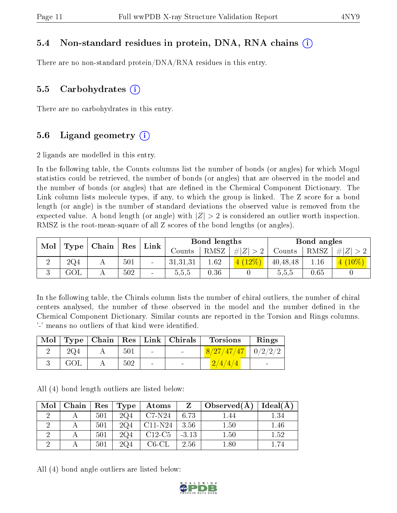#### 5.4 Non-standard residues in protein, DNA, RNA chains (i)

There are no non-standard protein/DNA/RNA residues in this entry.

#### 5.5 Carbohydrates (i)

There are no carbohydrates in this entry.

#### 5.6 Ligand geometry  $(i)$

2 ligands are modelled in this entry.

In the following table, the Counts columns list the number of bonds (or angles) for which Mogul statistics could be retrieved, the number of bonds (or angles) that are observed in the model and the number of bonds (or angles) that are dened in the Chemical Component Dictionary. The Link column lists molecule types, if any, to which the group is linked. The Z score for a bond length (or angle) is the number of standard deviations the observed value is removed from the expected value. A bond length (or angle) with  $|Z| > 2$  is considered an outlier worth inspection. RMSZ is the root-mean-square of all Z scores of the bond lengths (or angles).

| Mol | Chain   Res     |  |     | Bond lengths<br>${\rm Link}$ |          |      |             | Bond angles |      |             |
|-----|-----------------|--|-----|------------------------------|----------|------|-------------|-------------|------|-------------|
|     | Type            |  |     |                              | Counts   | RMSZ | # $ Z  > 2$ | Counts      | RMSZ | $\# Z  > 2$ |
|     | 2Q <sub>4</sub> |  | 501 |                              | 31,31,31 | 1.62 | $4(12\%)$   | 40,48,48    | 1.16 | $10\%$      |
|     | $\rm GOL$       |  | 502 | $\overline{\phantom{a}}$     | 0.5.5    | 0.36 |             | 5.5.5       | 0.65 |             |

In the following table, the Chirals column lists the number of chiral outliers, the number of chiral centers analysed, the number of these observed in the model and the number defined in the Chemical Component Dictionary. Similar counts are reported in the Torsion and Rings columns. '-' means no outliers of that kind were identified.

| Mol |     |     |        | Type   Chain   Res   Link   Chirals | <b>Torsions</b>          | Rings |
|-----|-----|-----|--------|-------------------------------------|--------------------------|-------|
|     | 2Q4 | 501 | $\sim$ | $\sim 100$                          | $8/27/47/47$   $0/2/2/2$ |       |
|     | GOL | 502 | $\sim$ | $\sim$                              | 2/4/4/4                  |       |

All (4) bond length outliers are listed below:

| Mol | Chain | Res | Type            | Atoms       | Z       | Observed $(A)$ | Ideal(A) |
|-----|-------|-----|-----------------|-------------|---------|----------------|----------|
|     |       | 501 | 2Q <sub>4</sub> | $C7-N24$    | 6.73    | $-44$          | $1.34\,$ |
|     |       | 501 | 2Q <sub>4</sub> | $C11-N24$   | 3.56    | 1.50           | .46      |
|     |       | 501 | 2Q <sub>4</sub> | $C12-C5$    | $-3.13$ | 1.50           | $1.52\,$ |
|     |       | 501 | 2Q4             | $C6$ - $CL$ | 2.56    |                |          |

All (4) bond angle outliers are listed below:

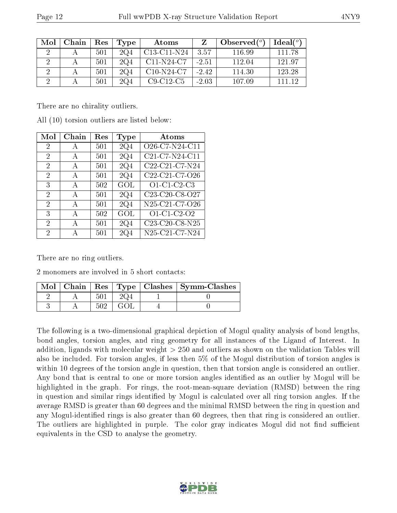| Mol | Chain | Res | Type | Atoms        |         | Observed $(^\circ)$ | $Ideal(^o)$ |
|-----|-------|-----|------|--------------|---------|---------------------|-------------|
|     |       | 501 | 2Q4  | C13-C11-N24  | 3.57    | 116.99              | 111 78      |
|     |       | 501 | 2Q4  | $C11-N24-C7$ | $-2.51$ | 112.04              | 121.97      |
|     |       | 501 | 2Q4  | $C10-N24-C7$ | $-2.42$ | 114.30              | 123.28      |
|     |       | 501 | 2Q4  | $C9-C12-C5$  | $-2.03$ | 107.09              | 111 19      |

There are no chirality outliers.

| Mol                         | Chain | $\operatorname{Res}% \left( \mathcal{N}\right) \equiv\operatorname{Res}(\mathcal{N}_{0},\mathcal{N}_{0})$ | Type            | <b>Atoms</b>                                                      |
|-----------------------------|-------|-----------------------------------------------------------------------------------------------------------|-----------------|-------------------------------------------------------------------|
| 2                           | А     | 501                                                                                                       | 2Q4             | O <sub>26</sub> -C <sub>7</sub> -N <sub>24</sub> -C <sub>11</sub> |
| $\overline{2}$              | A     | 501                                                                                                       | 2Q4             | C21-C7-N24-C11                                                    |
| $\overline{2}$              | A     | 501                                                                                                       | 2Q4             | C22-C21-C7-N24                                                    |
| $\overline{2}$              | A     | 501                                                                                                       | 2Q4             | C <sub>22</sub> -C <sub>21</sub> -C <sub>7</sub> -O <sub>26</sub> |
| 3                           | A     | 502                                                                                                       | GOL             | $O1$ -C1-C2-C3                                                    |
| $\mathcal{D}_{\mathcal{A}}$ | A     | 501                                                                                                       | 2Q <sub>4</sub> | C23-C20-C8-O27                                                    |
| $\overline{2}$              | A     | 501                                                                                                       | 2Q4             | N25-C21-C7-O26                                                    |
| 3                           | A     | 502                                                                                                       | GOL             | O1-C1-C2-O2                                                       |
| $\overline{2}$              | А     | 501                                                                                                       | 2Q <sub>4</sub> | C23-C20-C8-N25                                                    |
| 2                           |       | 501                                                                                                       | 2Q4             | N25-C21-C7-N24                                                    |

All (10) torsion outliers are listed below:

There are no ring outliers.

2 monomers are involved in 5 short contacts:

| Mol |  |  | Chain   Res   Type   Clashes   Symm-Clashes |
|-----|--|--|---------------------------------------------|
|     |  |  |                                             |
|     |  |  |                                             |

The following is a two-dimensional graphical depiction of Mogul quality analysis of bond lengths, bond angles, torsion angles, and ring geometry for all instances of the Ligand of Interest. In addition, ligands with molecular weight > 250 and outliers as shown on the validation Tables will also be included. For torsion angles, if less then 5% of the Mogul distribution of torsion angles is within 10 degrees of the torsion angle in question, then that torsion angle is considered an outlier. Any bond that is central to one or more torsion angles identified as an outlier by Mogul will be highlighted in the graph. For rings, the root-mean-square deviation (RMSD) between the ring in question and similar rings identified by Mogul is calculated over all ring torsion angles. If the average RMSD is greater than 60 degrees and the minimal RMSD between the ring in question and any Mogul-identied rings is also greater than 60 degrees, then that ring is considered an outlier. The outliers are highlighted in purple. The color gray indicates Mogul did not find sufficient equivalents in the CSD to analyse the geometry.

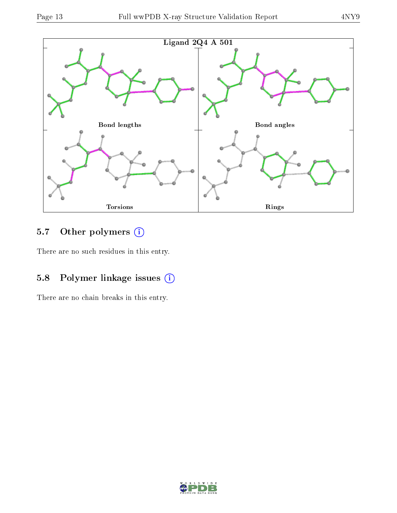

### 5.7 [O](https://www.wwpdb.org/validation/2017/XrayValidationReportHelp#nonstandard_residues_and_ligands)ther polymers (i)

There are no such residues in this entry.

### 5.8 Polymer linkage issues (i)

There are no chain breaks in this entry.

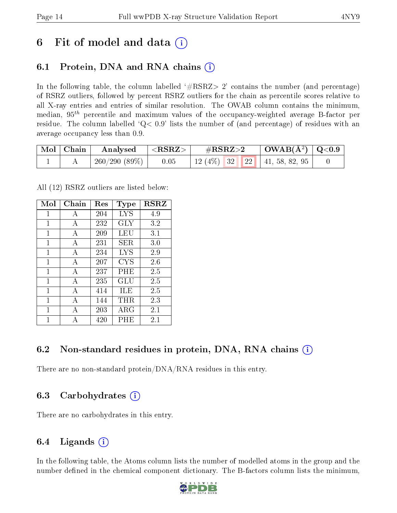## 6 Fit of model and data  $\circ$

### 6.1 Protein, DNA and RNA chains (i)

In the following table, the column labelled  $#RSRZ>2'$  contains the number (and percentage) of RSRZ outliers, followed by percent RSRZ outliers for the chain as percentile scores relative to all X-ray entries and entries of similar resolution. The OWAB column contains the minimum, median,  $95<sup>th</sup>$  percentile and maximum values of the occupancy-weighted average B-factor per residue. The column labelled  $Q< 0.9$  lists the number of (and percentage) of residues with an average occupancy less than 0.9.

| $\mid$ Mol $\mid$ Chain | $\bf{Analysed} \quad  $ | $\mid$ <rsrz> .</rsrz> | $\rm \#RSRZ{>}2$                    | $\vert$ OWAB(Å <sup>2</sup> ) $\vert$ Q<0.9 |  |
|-------------------------|-------------------------|------------------------|-------------------------------------|---------------------------------------------|--|
|                         | 260/290(89%)            | 0.05                   | 12 (4\%)   32   22   41, 58, 82, 95 |                                             |  |

All (12) RSRZ outliers are listed below:

| Mol | Chain        | $\operatorname{Res}% \left( \mathcal{N}\right) \equiv\operatorname{Res}(\mathcal{N}_{0})\cap\mathcal{N}_{1}$ | Type              | <b>RSRZ</b> |
|-----|--------------|--------------------------------------------------------------------------------------------------------------|-------------------|-------------|
| 1   | A            | 204                                                                                                          | $_{\mathrm{LYS}}$ | 4.9         |
| 1   | A            | 232                                                                                                          | GLY               | 3.2         |
| 1   | A            | 209                                                                                                          | LEU               | 3.1         |
| 1   | А            | 231                                                                                                          | SER               | 3.0         |
| 1   | A            | 234                                                                                                          | LYS               | 2.9         |
| 1   | А            | 207                                                                                                          | CYS               | 2.6         |
| 1   | $\mathbf{A}$ | 237                                                                                                          | PHE               | 2.5         |
| 1   | A            | 235                                                                                                          | GLU               | 2.5         |
| 1   | А            | 414                                                                                                          | ĦЕ                | 2.5         |
| 1   | A            | 144                                                                                                          | THR.              | 2.3         |
| 1   | А            | 203                                                                                                          | ${\rm ARG}$       | 2.1         |
| 1   |              | 420                                                                                                          | PHE               | 2.1         |

### 6.2 Non-standard residues in protein, DNA, RNA chains  $(i)$

There are no non-standard protein/DNA/RNA residues in this entry.

### 6.3 Carbohydrates (i)

There are no carbohydrates in this entry.

### 6.4 Ligands  $(i)$

In the following table, the Atoms column lists the number of modelled atoms in the group and the number defined in the chemical component dictionary. The B-factors column lists the minimum,